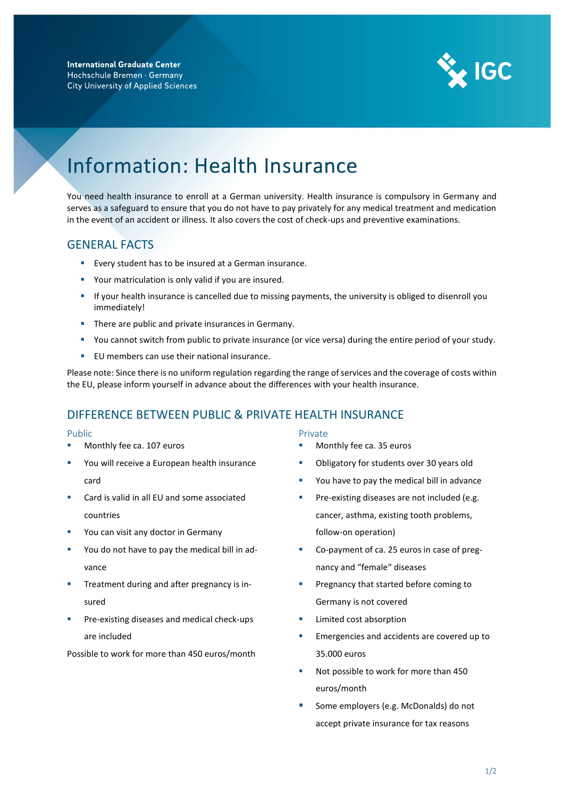

# Information: Health Insurance

You need health insurance to enroll at a German university. Health insurance is compulsory in Germany and serves as a safeguard to ensure that you do not have to pay privately for any medical treatment and medication in the event of an accident or illness. It also covers the cost of check-ups and preventive examinations.

## GENERAL FACTS

- Every student has to be insured at a German insurance.
- Your matriculation is only valid if you are insured.
- If your health insurance is cancelled due to missing payments, the university is obliged to disenroll you immediately!
- **•** There are public and private insurances in Germany.
- You cannot switch from public to private insurance (or vice versa) during the entire period of your study.
- EU members can use their national insurance.

Please note: Since there is no uniform regulation regarding the range of services and the coverage of costs within the EU, please inform yourself in advance about the differences with your health insurance.

## DIFFERENCE BETWEEN PUBLIC & PRIVATE HEALTH INSURANCE

#### Public

- Monthly fee ca. 107 euros
- You will receive a European health insurance card
- Card is valid in all EU and some associated countries
- You can visit any doctor in Germany
- You do not have to pay the medical bill in advance
- Treatment during and after pregnancy is insured
- Pre-existing diseases and medical check-ups are included

Possible to work for more than 450 euros/month

#### Private

- Monthly fee ca. 35 euros
- Obligatory for students over 30 years old
- You have to pay the medical bill in advance
- **•** Pre-existing diseases are not included (e.g. cancer, asthma, existing tooth problems, follow-on operation)
- Co-payment of ca. 25 euros in case of pregnancy and "female" diseases
- Pregnancy that started before coming to Germany is not covered
- Limited cost absorption
- **Emergencies and accidents are covered up to** 35.000 euros
- Not possible to work for more than 450 euros/month
- Some employers (e.g. McDonalds) do not accept private insurance for tax reasons